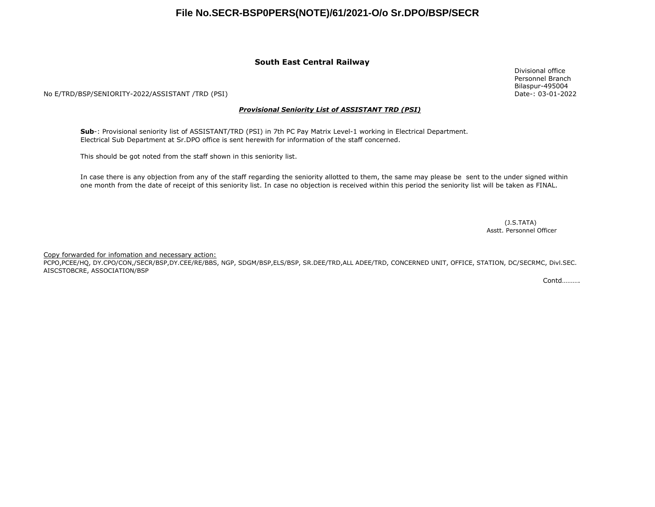## **File No.SECR-BSP0PERS(NOTE)/61/2021-O/o Sr.DPO/BSP/SECR**

### **South East Central Railway**

No E/TRD/BSP/SENIORITY-2022/ASSISTANT /TRD (PSI)

#### *Provisional Seniority List of ASSISTANT TRD (PSI)*

**Sub**-: Provisional seniority list of ASSISTANT/TRD (PSI) in 7th PC Pay Matrix Level-1 working in Electrical Department. Electrical Sub Department at Sr.DPO office is sent herewith for information of the staff concerned.

This should be got noted from the staff shown in this seniority list.

In case there is any objection from any of the staff regarding the seniority allotted to them, the same may please be sent to the under signed within one month from the date of receipt of this seniority list. In case no objection is received within this period the seniority list will be taken as FINAL.

> Asstt. Personnel Officer (J.S.TATA)

Copy forwarded for infomation and necessary action:

PCPO,PCEE/HQ, DY.CPO/CON,/SECR/BSP,DY.CEE/RE/BBS, NGP, SDGM/BSP,ELS/BSP, SR.DEE/TRD,ALL ADEE/TRD, CONCERNED UNIT, OFFICE, STATION, DC/SECRMC, Divl.SEC. AISCSTOBCRE, ASSOCIATION/BSP

Contd……….

Divisional office Personnel Branch Bilaspur-495004 Date-: 03-01-2022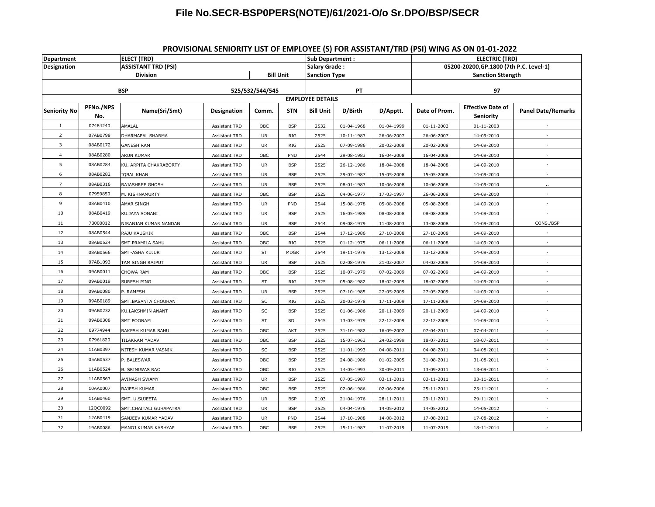# **File No.SECR-BSP0PERS(NOTE)/61/2021-O/o Sr.DPO/BSP/SECR**

| Department          |                  | <b>ELECT (TRD)</b>         |                      |                  |                         | <b>Sub Department:</b> |            |                          | <b>ELECTRIC (TRD)</b>                   |                                       |                           |
|---------------------|------------------|----------------------------|----------------------|------------------|-------------------------|------------------------|------------|--------------------------|-----------------------------------------|---------------------------------------|---------------------------|
| <b>Designation</b>  |                  | <b>ASSISTANT TRD (PSI)</b> |                      |                  |                         | Salary Grade:          |            |                          | 05200-20200, GP.1800 (7th P.C. Level-1) |                                       |                           |
| <b>Division</b>     |                  |                            |                      | <b>Bill Unit</b> | <b>Sanction Type</b>    |                        |            | <b>Sanction Sttength</b> |                                         |                                       |                           |
| <b>BSP</b>          |                  |                            | 525/532/544/545      |                  |                         | PT                     |            |                          | 97                                      |                                       |                           |
|                     |                  |                            |                      |                  | <b>EMPLOYEE DETAILS</b> |                        |            |                          |                                         |                                       |                           |
| <b>Seniority No</b> | PFNo./NPS<br>No. | Name(Sri/Smt)              | <b>Designation</b>   | Comm.            | <b>STN</b>              | <b>Bill Unit</b>       | D/Birth    | D/Apptt.                 | Date of Prom.                           | <b>Effective Date of</b><br>Seniority | <b>Panel Date/Remarks</b> |
| 1                   | 07484240         | AMALAL                     | Assistant TRD        | OBC              | <b>BSP</b>              | 2532                   | 01-04-1968 | 01-04-1999               | 01-11-2003                              | 01-11-2003                            |                           |
| $\overline{2}$      | 07AB0798         | DHARMAPAL SHARMA           | Assistant TRD        | UR               | RIG                     | 2525                   | 10-11-1983 | 26-06-2007               | 26-06-2007                              | 14-09-2010                            |                           |
| 3                   | 08AB0172         | GANESH.RAM                 | Assistant TRD        | UR               | RIG                     | 2525                   | 07-09-1986 | 20-02-2008               | 20-02-2008                              | 14-09-2010                            |                           |
| $\overline{4}$      | 08AB0280         | ARUN KUMAR                 | <b>Assistant TRD</b> | OBC              | PND                     | 2544                   | 29-08-1983 | 16-04-2008               | 16-04-2008                              | 14-09-2010                            |                           |
| 5                   | 08AB0284         | KU. ARPITA CHAKRABORTY     | Assistant TRD        | UR               | <b>BSP</b>              | 2525                   | 26-12-1986 | 18-04-2008               | 18-04-2008                              | 14-09-2010                            |                           |
| 6                   | 08AB0282         | <b>IQBAL KHAN</b>          | Assistant TRD        | UR               | <b>BSP</b>              | 2525                   | 29-07-1987 | 15-05-2008               | 15-05-2008                              | 14-09-2010                            |                           |
| $\overline{7}$      | 08AB0316         | RAJASHREE GHOSH            | Assistant TRD        | UR               | <b>BSP</b>              | 2525                   | 08-01-1983 | 10-06-2008               | 10-06-2008                              | 14-09-2010                            |                           |
| 8                   | 07959850         | M. KISHNAMURTY             | Assistant TRD        | ${\sf OBC}$      | <b>BSP</b>              | 2525                   | 04-06-1977 | 17-03-1997               | 26-06-2008                              | 14-09-2010                            |                           |
| 9                   | 08AB0410         | AMAR SINGH                 | Assistant TRD        | UR               | PND                     | 2544                   | 15-08-1978 | 05-08-2008               | 05-08-2008                              | 14-09-2010                            |                           |
| 10                  | 08AB0419         | KU.JAYA SONANI             | Assistant TRD        | UR               | <b>BSP</b>              | 2525                   | 16-05-1989 | 08-08-2008               | 08-08-2008                              | 14-09-2010                            |                           |
| 11                  | 73000012         | NIRANJAN KUMAR NANDAN      | Assistant TRD        | UR               | <b>BSP</b>              | 2544                   | 09-08-1979 | 11-08-2003               | 13-08-2008                              | 14-09-2010                            | CONS./BSP                 |
| 12                  | 08AB0544         | RAJU KAUSHIK               | Assistant TRD        | OBC              | <b>BSP</b>              | 2544                   | 17-12-1986 | 27-10-2008               | 27-10-2008                              | 14-09-2010                            |                           |
| 13                  | 08AB0524         | SMT.PRAMILA SAHU           | Assistant TRD        | OBC              | RIG                     | 2525                   | 01-12-1975 | 06-11-2008               | 06-11-2008                              | 14-09-2010                            |                           |
| 14                  | 08AB0566         | SMT-ASHA KUJUR             | Assistant TRD        | ST               | <b>MDGR</b>             | 2544                   | 19-11-1979 | 13-12-2008               | 13-12-2008                              | 14-09-2010                            |                           |
| 15                  | 07AB1093         | TAM SINGH RAJPUT           | Assistant TRD        | <b>UR</b>        | <b>BSP</b>              | 2525                   | 02-08-1979 | 21-02-2007               | 04-02-2009                              | 14-09-2010                            |                           |
| 16                  | 09AB0011         | CHOWA RAM                  | Assistant TRD        | OBC              | <b>BSP</b>              | 2525                   | 10-07-1979 | 07-02-2009               | 07-02-2009                              | 14-09-2010                            |                           |
| 17                  | 09AB0019         | SURESH PING                | Assistant TRD        | ST               | RIG                     | 2525                   | 05-08-1982 | 18-02-2009               | 18-02-2009                              | 14-09-2010                            |                           |
| 18                  | 09AB0080         | P. RAMESH                  | Assistant TRD        | <b>UR</b>        | <b>BSP</b>              | 2525                   | 07-10-1985 | 27-05-2009               | 27-05-2009                              | 14-09-2010                            |                           |
| 19                  | 09AB0189         | SMT.BASANTA CHOUHAN        | Assistant TRD        | SC               | RIG                     | 2525                   | 20-03-1978 | 17-11-2009               | 17-11-2009                              | 14-09-2010                            |                           |
| $20\,$              | 09AB0232         | KU.LAKSHMIN ANANT          | Assistant TRD        | $\sf SC$         | <b>BSP</b>              | 2525                   | 01-06-1986 | 20-11-2009               | 20-11-2009                              | 14-09-2010                            |                           |
| 21                  | 09AB0308         | <b>SMT POONAM</b>          | Assistant TRD        | ST               | SDL                     | 2545                   | 13-03-1979 | 22-12-2009               | 22-12-2009                              | 14-09-2010                            |                           |
| 22                  | 09774944         | RAKESH KUMAR SAHU          | Assistant TRD        | OBC              | AKT                     | 2525                   | 31-10-1982 | 16-09-2002               | 07-04-2011                              | 07-04-2011                            |                           |
| 23                  | 07961820         | TILAKRAM YADAV             | Assistant TRD        | OBC              | <b>BSP</b>              | 2525                   | 15-07-1963 | 24-02-1999               | 18-07-2011                              | 18-07-2011                            |                           |
| 24                  | 11AB0397         | NITESH KUMAR VASNIK        | Assistant TRD        | SC               | <b>BSP</b>              | 2525                   | 11-01-1993 | 04-08-2011               | 04-08-2011                              | 04-08-2011                            |                           |
| 25                  | 05AB0537         | P. BALESWAR                | Assistant TRD        | OBC              | <b>BSP</b>              | 2525                   | 24-08-1986 | 01-02-2005               | 31-08-2011                              | 31-08-2011                            |                           |
| 26                  | 11AB0524         | <b>B. SRINIWAS RAO</b>     | Assistant TRD        | OBC              | RIG                     | 2525                   | 14-05-1993 | 30-09-2011               | 13-09-2011                              | 13-09-2011                            |                           |
| 27                  | 11AB0563         | AVINASH SWAMY              | Assistant TRD        | UR               | <b>BSP</b>              | 2525                   | 07-05-1987 | 03-11-2011               | 03-11-2011                              | 03-11-2011                            |                           |
| 28                  | 10AA0007         | RAJESH KUMAR               | Assistant TRD        | OBC              | <b>BSP</b>              | 2525                   | 02-06-1986 | 02-06-2006               | 25-11-2011                              | 25-11-2011                            |                           |
| 29                  | 11AB0460         | SMT. U.SUJEETA             | Assistant TRD        | UR               | <b>BSP</b>              | 2103                   | 21-04-1976 | 28-11-2011               | 29-11-2011                              | 29-11-2011                            |                           |
| 30                  | 12QC0092         | SMT.CHAITALI GUHAPATRA     | Assistant TRD        | UR               | <b>BSP</b>              | 2525                   | 04-04-1976 | 14-05-2012               | 14-05-2012                              | 14-05-2012                            |                           |
| 31                  | 12AB0419         | SANJEEV KUMAR YADAV        | Assistant TRD        | UR               | PND                     | 2544                   | 17-10-1988 | 14-08-2012               | 17-08-2012                              | 17-08-2012                            |                           |
| 32                  | 19AB0086         | MANOJ KUMAR KASHYAP        | Assistant TRD        | OBC              | <b>BSP</b>              | 2525                   | 15-11-1987 | 11-07-2019               | 11-07-2019                              | 18-11-2014                            |                           |

## **PROVISIONAL SENIORITY LIST OF EMPLOYEE (S) FOR ASSISTANT/TRD (PSI) WING AS ON 01-01-2022**